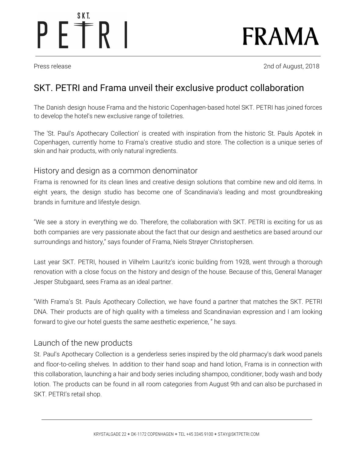# S K T. PETRI

FRAMA

Press release 2018 and 2018 and 2nd of August, 2018

## SKT. PETRI and Frama unveil their exclusive product collaboration

The Danish design house Frama and the historic Copenhagen-based hotel SKT. PETRI has joined forces to develop the hotel's new exclusive range of toiletries.

The 'St. Paul's Apothecary Collection' is created with inspiration from the historic St. Pauls Apotek in Copenhagen, currently home to Frama's creative studio and store. The collection is a unique series of skin and hair products, with only natural ingredients.

### History and design as a common denominator

Frama is renowned for its clean lines and creative design solutions that combine new and old items. In eight years, the design studio has become one of Scandinavia's leading and most groundbreaking brands in furniture and lifestyle design.

"We see a story in everything we do. Therefore, the collaboration with SKT. PETRI is exciting for us as both companies are very passionate about the fact that our design and aesthetics are based around our surroundings and history," says founder of Frama, Niels Strøyer Christophersen.

Last year SKT. PETRI, housed in Vilhelm Lauritz's iconic building from 1928, went through a thorough renovation with a close focus on the history and design of the house. Because of this, General Manager Jesper Stubgaard, sees Frama as an ideal partner.

"With Frama's St. Pauls Apothecary Collection, we have found a partner that matches the SKT. PETRI DNA. Their products are of high quality with a timeless and Scandinavian expression and I am looking forward to give our hotel guests the same aesthetic experience, " he says.

## Launch of the new products

St. Paul's Apothecary Collection is a genderless series inspired by the old pharmacy's dark wood panels and floor-to-ceiling shelves. In addition to their hand soap and hand lotion, Frama is in connection with this collaboration, launching a hair and body series including shampoo, conditioner, body wash and body lotion. The products can be found in all room categories from August 9th and can also be purchased in SKT. PETRI's retail shop.